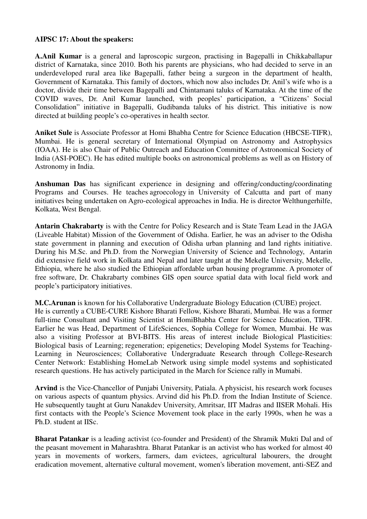## **AIPSC 17: About the speakers:**

**A.Anil Kumar** is a general and laproscopic surgeon, practising in Bagepalli in Chikkaballapur district of Karnataka, since 2010. Both his parents are physicians, who had decided to serve in an underdeveloped rural area like Bagepalli, father being a surgeon in the department of health, Government of Karnataka. This family of doctors, which now also includes Dr. Anil's wife who is a doctor, divide their time between Bagepalli and Chintamani taluks of Karnataka. At the time of the COVID waves, Dr. Anil Kumar launched, with peoples' participation, a "Citizens' Social Consolidation" initiative in Bagepalli, Gudibanda taluks of his district. This initiative is now directed at building people's co-operatives in health sector.

**Aniket Sule** is Associate Professor at Homi Bhabha Centre for Science Education (HBCSE-TIFR), Mumbai. He is general secretary of International Olympiad on Astronomy and Astrophysics (IOAA). He is also Chair of Public Outreach and Education Committee of Astronomical Society of India (ASI-POEC). He has edited multiple books on astronomical problems as well as on History of Astronomy in India.

**Anshuman Das** has significant experience in designing and offering/conducting/coordinating Programs and Courses. He teaches agroecology in University of Calcutta and part of many initiatives being undertaken on Agro-ecological approaches in India. He is director Welthungerhilfe, Kolkata, West Bengal.

**Antarin Chakrabarty** is with the Centre for Policy Research and is State Team Lead in the JAGA (Liveable Habitat) Mission of the Government of Odisha. Earlier, he was an adviser to the Odisha state government in planning and execution of Odisha urban planning and land rights initiative. During his M.Sc. and Ph.D. from the Norwegian University of Science and Technology, Antarin did extensive field work in Kolkata and Nepal and later taught at the Mekelle University, Mekelle, Ethiopia, where he also studied the Ethiopian affordable urban housing programme. A promoter of free software, Dr. Chakrabarty combines GIS open source spatial data with local field work and people's participatory initiatives.

**M.C.Arunan** is known for his Collaborative Undergraduate Biology Education (CUBE) project. He is currently a CUBE-CURE Kishore Bharati Fellow, Kishore Bharati, Mumbai. He was a former full-time Consultant and Visiting Scientist at HomiBhabha Center for Science Education, TIFR. Earlier he was Head, Department of LifeSciences, Sophia College for Women, Mumbai. He was also a visiting Professor at BVI-BITS. His areas of interest include Biological Plasticities: Biological basis of Learning; regeneration; epigenetics; Developing Model Systems for Teaching-Learning in Neurosciences; Collaborative Undergraduate Research through College-Research Center Network: Establishing HomeLab Network using simple model systems and sophisticated research questions. He has actively participated in the March for Science rally in Mumabi.

**Arvind** is the Vice-Chancellor of Punjabi University, Patiala. A physicist, his research work focuses on various aspects of quantum physics. Arvind did his Ph.D. from the Indian Institute of Science. He subsequently taught at Guru Nanakdev University, Amritsar, IIT Madras and IISER Mohali. His first contacts with the People's Science Movement took place in the early 1990s, when he was a Ph.D. student at IISc.

**Bharat Patankar** is a leading activist (co-founder and President) of the Shramik Mukti Dal and of the peasant movement in Maharashtra. Bharat Patankar is an activist who has worked for almost 40 years in movements of workers, farmers, dam evictees, agricultural labourers, the drought eradication movement, alternative cultural movement, women's liberation movement, anti-SEZ and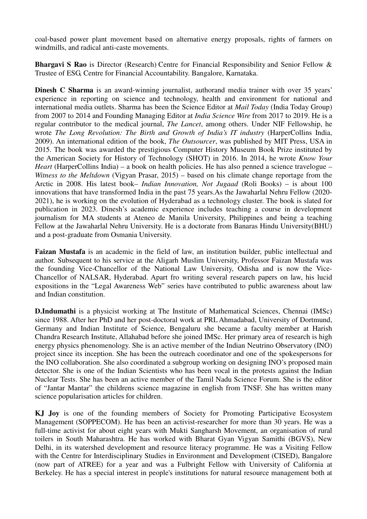coal-based power plant movement based on alternative energy proposals, rights of farmers on windmills, and radical anti-caste movements.

**Bhargavi S Rao** is Director (Research) Centre for Financial Responsibility and Senior Fellow & Trustee of ESG, Centre for Financial Accountability. Bangalore, Karnataka.

**Dinesh C Sharma** is an award-winning journalist, authorand media trainer with over 35 years' experience in reporting on science and technology, health and environment for national and international media outlets. Sharma has been the Science Editor at *Mail Today* (India Today Group) from 2007 to 2014 and Founding Managing Editor at *India Science Wire* from 2017 to 2019. He is a regular contributor to the medical journal, *The Lancet*, among others. Under NIF Fellowship, he wrote *The Long Revolution: The Birth and Growth of India's IT industry* (HarperCollins India, 2009). An international edition of the book, *The Outsourcer*, was published by MIT Press, USA in 2015. The book was awarded the prestigious Computer History Museum Book Prize instituted by the American Society for History of Technology (SHOT) in 2016. In 2014, he wrote *Know Your Heart* (HarperCollins India) – a book on health policies. He has also penned a science travelogue – *Witness to the Meltdown* (Vigyan Prasar, 2015) – based on his climate change reportage from the Arctic in 2008. His latest book– *Indian Innovation, Not Jugaad* (Roli Books) – is about 100 innovations that have transformed India in the past 75 years.As the Jawaharlal Nehru Fellow (2020- 2021), he is working on the evolution of Hyderabad as a technology cluster. The book is slated for publication in 2023. Dinesh's academic experience includes teaching a course in development journalism for MA students at Ateneo de Manila University, Philippines and being a teaching Fellow at the Jawaharlal Nehru University. He is a doctorate from Banaras Hindu University(BHU) and a post-graduate from Osmania University.

**Faizan Mustafa** is an academic in the field of law, an institution builder, public intellectual and author. Subsequent to his service at the Aligarh Muslim University, Professor Faizan Mustafa was the founding Vice-Chancellor of the National Law University, Odisha and is now the Vice-Chancellor of NALSAR, Hyderabad. Apart fro writing several research papers on law, his lucid expositions in the "Legal Awareness Web" series have contributed to public awareness about law and Indian constitution.

**D.Indumathi** is a physicist working at The Institute of Mathematical Sciences, Chennai (IMSc) since 1988. After her PhD and her post-doctoral work at PRL Ahmadabad, University of Dortmund, Germany and Indian Institute of Science, Bengaluru she became a faculty member at Harish Chandra Research Institute, Allahabad before she joined IMSc. Her primary area of research is high energy physics phenomenology. She is an active member of the Indian Neutrino Observatory (INO) project since its inception. She has been the outreach coordinator and one of the spokespersons for the INO collaboration. She also coordinated a subgroup working on designing INO's proposed main detector. She is one of the Indian Scientists who has been vocal in the protests against the Indian Nuclear Tests. She has been an active member of the Tamil Nadu Science Forum. She is the editor of "Jantar Mantar" the childrens science magazine in english from TNSF. She has written many science popularisation articles for children.

**KJ Joy** is one of the founding members of Society for Promoting Participative Ecosystem Management (SOPPECOM). He has been an activist-researcher for more than 30 years. He was a full-time activist for about eight years with Mukti Sangharsh Movement, an organisation of rural toilers in South Maharashtra. He has worked with Bharat Gyan Vigyan Samithi (BGVS), New Delhi, in its watershed development and resource literacy programme. He was a Visiting Fellow with the Centre for Interdisciplinary Studies in Environment and Development (CISED), Bangalore (now part of ATREE) for a year and was a Fulbright Fellow with University of California at Berkeley. He has a special interest in people's institutions for natural resource management both at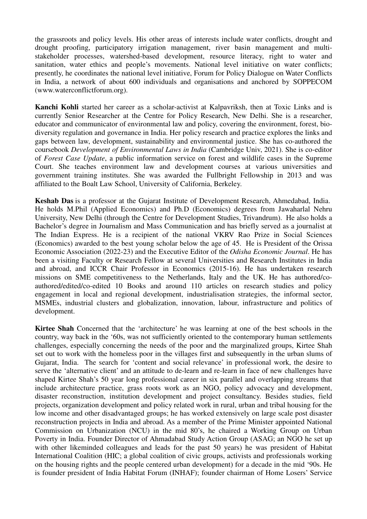the grassroots and policy levels. His other areas of interests include water conflicts, drought and drought proofing, participatory irrigation management, river basin management and multistakeholder processes, watershed-based development, resource literacy, right to water and sanitation, water ethics and people's movements. National level initiative on water conflicts; presently, he coordinates the national level initiative, Forum for Policy Dialogue on Water Conflicts in India, a network of about 600 individuals and organisations and anchored by SOPPECOM (www.waterconflictforum.org).

**Kanchi Kohli** started her career as a scholar-activist at Kalpavriksh, then at Toxic Links and is currently Senior Researcher at the Centre for Policy Research, New Delhi. She is a researcher, educator and communicator of environmental law and policy, covering the environment, forest, biodiversity regulation and governance in India. Her policy research and practice explores the links and gaps between law, development, sustainability and environmental justice. She has co-authored the coursebook *Development of Environmental Laws in India* (Cambridge Univ, 2021). She is co-editor of *Forest Case Update*, a public information service on forest and wildlife cases in the Supreme Court. She teaches environment law and development courses at various universities and government training institutes. She was awarded the Fullbright Fellowship in 2013 and was affiliated to the Boalt Law School, University of California, Berkeley.

**Keshab Das** is a professor at the Gujarat Institute of Development Research, Ahmedabad, India. He holds M.Phil (Applied Economics) and Ph.D (Economics) degrees from Jawaharlal Nehru University, New Delhi (through the Centre for Development Studies, Trivandrum). He also holds a Bachelor's degree in Journalism and Mass Communication and has briefly served as a journalist at The Indian Express. He is a recipient of the national VKRV Rao Prize in Social Sciences (Economics) awarded to the best young scholar below the age of 45. He is President of the Orissa Economic Association (2022-23) and the Executive Editor of the *Odisha Economic Journal*. He has been a visiting Faculty or Research Fellow at several Universities and Research Institutes in India and abroad, and ICCR Chair Professor in Economics (2015-16). He has undertaken research missions on SME competitiveness to the Netherlands, Italy and the UK. He has authored/coauthored/edited/co-edited 10 Books and around 110 articles on research studies and policy engagement in local and regional development, industrialisation strategies, the informal sector, MSMEs, industrial clusters and globalization, innovation, labour, infrastructure and politics of development.

**Kirtee Shah** Concerned that the 'architecture' he was learning at one of the best schools in the country, way back in the '60s, was not sufficiently oriented to the contemporary human settlements challenges, especially concerning the needs of the poor and the marginalized groups, Kirtee Shah set out to work with the homeless poor in the villages first and subsequently in the urban slums of Gujarat, India. The search for 'content and social relevance' in professional work, the desire to serve the 'alternative client' and an attitude to de-learn and re-learn in face of new challenges have shaped Kirtee Shah's 50 year long professional career in six parallel and overlapping streams that include architecture practice, grass roots work as an NGO, policy advocacy and development, disaster reconstruction, institution development and project consultancy. Besides studies, field projects, organization development and policy related work in rural, urban and tribal housing for the low income and other disadvantaged groups; he has worked extensively on large scale post disaster reconstruction projects in India and abroad. As a member of the Prime Minister appointed National Commission on Urbanization (NCU) in the mid 80's, he chaired a Working Group on Urban Poverty in India. Founder Director of Ahmadabad Study Action Group (ASAG; an NGO he set up with other likeminded colleagues and leads for the past 50 years) he was president of Habitat International Coalition (HIC; a global coalition of civic groups, activists and professionals working on the housing rights and the people centered urban development) for a decade in the mid '90s. He is founder president of India Habitat Forum (INHAF); founder chairman of Home Losers' Service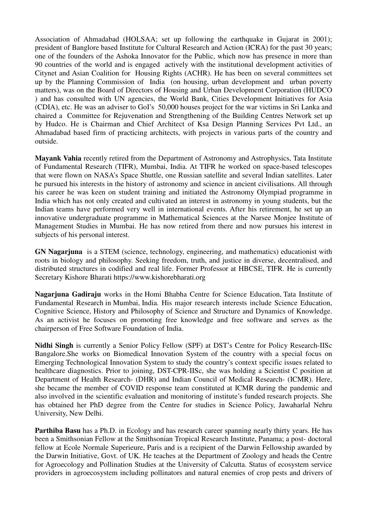Association of Ahmadabad (HOLSAA; set up following the earthquake in Gujarat in 2001); president of Banglore based Institute for Cultural Research and Action (ICRA) for the past 30 years; one of the founders of the Ashoka Innovator for the Public, which now has presence in more than 90 countries of the world and is engaged actively with the institutional development activities of Citynet and Asian Coalition for Housing Rights (ACHR). He has been on several committees set up by the Planning Commission of India (on housing, urban development and urban poverty matters), was on the Board of Directors of Housing and Urban Development Corporation (HUDCO ) and has consulted with UN agencies, the World Bank, Cities Development Initiatives for Asia (CDIA), etc. He was an adviser to GoI's 50,000 houses project for the war victims in Sri Lanka and chaired a Committee for Rejuvenation and Strengthening of the Building Centres Network set up by Hudco. He is Chairman and Chief Architect of Ksa Design Planning Services Pvt Ltd., an Ahmadabad based firm of practicing architects, with projects in various parts of the country and outside.

**Mayank Vahia** recently retired from the Department of Astronomy and Astrophysics, Tata Institute of Fundamental Research (TIFR), Mumbai, India. At TIFR he worked on space-based telescopes that were flown on NASA's Space Shuttle, one Russian satellite and several Indian satellites. Later he pursued his interests in the history of astronomy and science in ancient civilisations. All through his career he was keen on student training and initiated the Astronomy Olympiad programme in India which has not only created and cultivated an interest in astronomy in young students, but the Indian teams have performed very well in international events. After his retirement, he set up an innovative undergraduate programme in Mathematical Sciences at the Narsee Monjee Institute of Management Studies in Mumbai. He has now retired from there and now pursues his interest in subjects of his personal interest.

**GN Nagarjuna** is a STEM (science, technology, engineering, and mathematics) educationist with roots in biology and philosophy. Seeking freedom, truth, and justice in diverse, decentralised, and distributed structures in codified and real life. Former Professor at HBCSE, TIFR. He is currently Secretary Kishore Bharati https://www.kishorebharati.org

**Nagarjuna Gadiraju** works in the Homi Bhabha Centre for Science Education, Tata Institute of Fundamental Research in Mumbai, India. His major research interests include Science Education, Cognitive Science, History and Philosophy of Science and Structure and Dynamics of Knowledge. As an activist he focuses on promoting free knowledge and free software and serves as the chairperson of Free Software Foundation of India.

**Nidhi Singh** is currently a Senior Policy Fellow (SPF) at DST's Centre for Policy Research-IISc Bangalore.She works on Biomedical Innovation System of the country with a special focus on Emerging Technological Innovation System to study the country's context specific issues related to healthcare diagnostics. Prior to joining, DST-CPR-IISc, she was holding a Scientist C position at Department of Health Research- (DHR) and Indian Council of Medical Research- (ICMR). Here, she became the member of COVID response team constituted at ICMR during the pandemic and also involved in the scientific evaluation and monitoring of institute's funded research projects. She has obtained her PhD degree from the Centre for studies in Science Policy, Jawaharlal Nehru University, New Delhi.

**Parthiba Basu** has a Ph.D. in Ecology and has research career spanning nearly thirty years. He has been a Smithsonian Fellow at the Smithsonian Tropical Research Institute, Panama; a post- doctoral fellow at Ecole Normale Superieure, Paris and is a recipient of the Darwin Fellowship awarded by the Darwin Initiative, Govt. of UK. He teaches at the Department of Zoology and heads the Centre for Agroecology and Pollination Studies at the University of Calcutta. Status of ecosystem service providers in agroecosystem including pollinators and natural enemies of crop pests and drivers of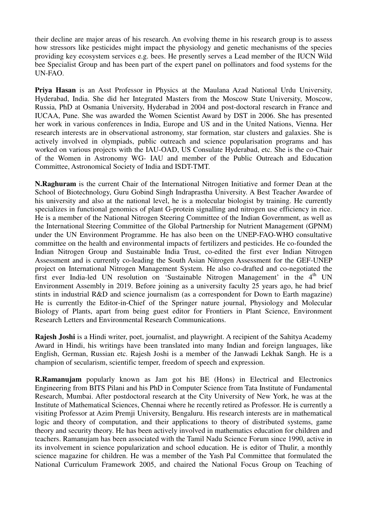their decline are major areas of his research. An evolving theme in his research group is to assess how stressors like pesticides might impact the physiology and genetic mechanisms of the species providing key ecosystem services e.g. bees. He presently serves a Lead member of the IUCN Wild bee Specialist Group and has been part of the expert panel on pollinators and food systems for the UN-FAO.

**Priya Hasan** is an Asst Professor in Physics at the Maulana Azad National Urdu University, Hyderabad, India. She did her Integrated Masters from the Moscow State University, Moscow, Russia, PhD at Osmania University, Hyderabad in 2004 and post-doctoral research in France and IUCAA, Pune. She was awarded the Women Scientist Award by DST in 2006. She has presented her work in various conferences in India, Europe and US and in the United Nations, Vienna. Her research interests are in observational astronomy, star formation, star clusters and galaxies. She is actively involved in olympiads, public outreach and science popularisation programs and has worked on various projects with the IAU-OAD, US Consulate Hyderabad, etc. She is the co-Chair of the Women in Astronomy WG- IAU and member of the Public Outreach and Education Committee, Astronomical Society of India and ISDT-TMT.

**N.Raghuram** is the current Chair of the International Nitrogen Initiative and former Dean at the School of Biotechnology, Guru Gobind Singh Indraprastha University. A Best Teacher Awardee of his university and also at the national level, he is a molecular biologist by training. He currently specializes in functional genomics of plant G-protein signalling and nitrogen use efficiency in rice. He is a member of the National Nitrogen Steering Committee of the Indian Government, as well as the International Steering Committee of the Global Partnership for Nutrient Management (GPNM) under the UN Environment Programme. He has also been on the UNEP-FAO-WHO consultative committee on the health and environmental impacts of fertilizers and pesticides. He co-founded the Indian Nitrogen Group and Sustainable India Trust, co-edited the first ever Indian Nitrogen Assessment and is currently co-leading the South Asian Nitrogen Assessment for the GEF-UNEP project on International Nitrogen Management System. He also co-drafted and co-negotiated the first ever India-led UN resolution on 'Sustainable Nitrogen Management' in the  $4<sup>th</sup>$  UN Environment Assembly in 2019. Before joining as a university faculty 25 years ago, he had brief stints in industrial R&D and science journalism (as a correspondent for Down to Earth magazine) He is currently the Editor-in-Chief of the Springer nature journal, Physiology and Molecular Biology of Plants, apart from being guest editor for Frontiers in Plant Science, Environment Research Letters and Environmental Research Communications.

**Rajesh Joshi** is a Hindi writer, poet, journalist, and playwright. A recipient of the Sahitya Academy Award in Hindi, his writings have been translated into many Indian and foreign languages, like English, German, Russian etc. Rajesh Joshi is a member of the Janwadi Lekhak Sangh. He is a champion of secularism, scientific temper, freedom of speech and expression.

**R.Ramanujam** popularly known as Jam got his BE (Hons) in Electrical and Electronics Engineering from BITS Pilani and his PhD in Computer Science from Tata Institute of Fundamental Research, Mumbai. After postdoctoral research at the City University of New York, he was at the Institute of Mathematical Sciences, Chennai where he recently retired as Professor. He is currently a visiting Professor at Azim Premji University, Bengaluru. His research interests are in mathematical logic and theory of computation, and their applications to theory of distributed systems, game theory and security theory. He has been actively involved in mathematics education for children and teachers. Ramanujam has been associated with the Tamil Nadu Science Forum since 1990, active in its involvement in science popularization and school education. He is editor of Thulir, a monthly science magazine for children. He was a member of the Yash Pal Committee that formulated the National Curriculum Framework 2005, and chaired the National Focus Group on Teaching of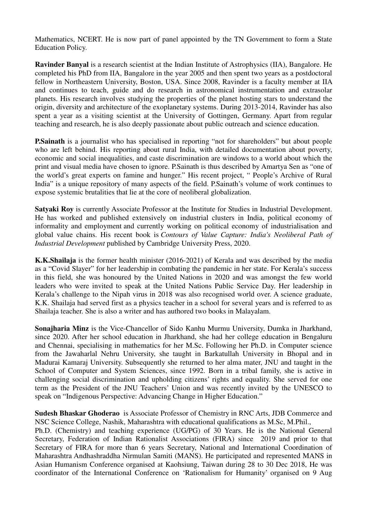Mathematics, NCERT. He is now part of panel appointed by the TN Government to form a State Education Policy.

**Ravinder Banyal** is a research scientist at the Indian Institute of Astrophysics (IIA), Bangalore. He completed his PhD from IIA, Bangalore in the year 2005 and then spent two years as a postdoctoral fellow in Northeastern University, Boston, USA. Since 2008, Ravinder is a faculty member at IIA and continues to teach, guide and do research in astronomical instrumentation and extrasolar planets. His research involves studying the properties of the planet hosting stars to understand the origin, diversity and architecture of the exoplanetary systems. During 2013-2014, Ravinder has also spent a year as a visiting scientist at the University of Gottingen, Germany. Apart from regular teaching and research, he is also deeply passionate about public outreach and science education.

**P.Sainath** is a journalist who has specialised in reporting "not for shareholders" but about people who are left behind. His reporting about rural India, with detailed documentation about poverty, economic and social inequalities, and caste discrimination are windows to a world about which the print and visual media have chosen to ignore. P.Sainath is thus described by Amartya Sen as "one of the world's great experts on famine and hunger." His recent project, " People's Archive of Rural India" is a unique repository of many aspects of the field. P.Sainath's volume of work continues to expose systemic brutalities that lie at the core of neoliberal globalization.

**Satyaki Roy** is currently Associate Professor at the Institute for Studies in Industrial Development. He has worked and published extensively on industrial clusters in India, political economy of informality and employment and currently working on political economy of industrialisation and global value chains. His recent book is *Contours of Value Capture: India's Neoliberal Path of Industrial Development* published by Cambridge University Press, 2020.

**K.K.Shailaja** is the former health minister (2016-2021) of Kerala and was described by the media as a "Covid Slayer" for her leadership in combating the pandemic in her state. For Kerala's success in this field, she was honoured by the United Nations in 2020 and was amongst the few world leaders who were invited to speak at the United Nations Public Service Day. Her leadership in Kerala's challenge to the Nipah virus in 2018 was also recognised world over. A science graduate, K.K. Shailaja had served first as a physics teacher in a school for several years and is referred to as Shailaja teacher. She is also a writer and has authored two books in Malayalam.

**Sonajharia Minz** is the Vice-Chancellor of Sido Kanhu Murmu University, Dumka in Jharkhand, since 2020. After her school education in Jharkhand, she had her college education in Bengaluru and Chennai, specialising in mathematics for her M.Sc. Following her Ph.D. in Computer science from the Jawaharlal Nehru University, she taught in Barkatullah University in Bhopal and in Madurai Kamaraj University. Subsequently she returned to her alma mater, JNU and taught in the School of Computer and System Sciences, since 1992. Born in a tribal family, she is active in challenging social discrimination and upholding citizens' rights and equality. She served for one term as the President of the JNU Teachers' Union and was recently invited by the UNESCO to speak on "Indigenous Perspective: Advancing Change in Higher Education."

**Sudesh Bhaskar Ghoderao** is Associate Professor of Chemistry in RNC Arts, JDB Commerce and NSC Science College, Nashik, Maharashtra with educational qualifications as M.Sc, M.Phil.,

Ph.D. (Chemistry) and teaching experience (UG/PG) of 30 Years. He is the National General Secretary, Federation of Indian Rationalist Associations (FIRA) since 2019 and prior to that Secretary of FIRA for more than 6 years Secretary, National and International Coordination of Maharashtra Andhashraddha Nirmulan Samiti (MANS). He participated and represented MANS in Asian Humanism Conference organised at Kaohsiung, Taiwan during 28 to 30 Dec 2018, He was coordinator of the International Conference on 'Rationalism for Humanity' organised on 9 Aug